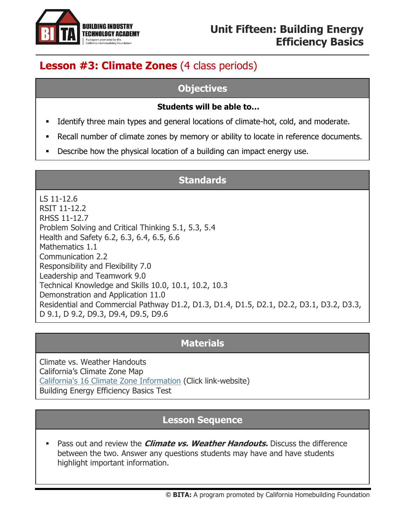

# **Lesson #3: Climate Zones** (4 class periods)

#### **Objectives**

#### **Students will be able to…**

- **■** Identify three main types and general locations of climate-hot, cold, and moderate.
- Recall number of climate zones by memory or ability to locate in reference documents.
- Describe how the physical location of a building can impact energy use.

## **Standards**

LS 11-12.6 RSIT 11-12.2 RHSS 11-12.7 Problem Solving and Critical Thinking 5.1, 5.3, 5.4 Health and Safety 6.2, 6.3, 6.4, 6.5, 6.6 Mathematics 1.1 Communication 2.2 Responsibility and Flexibility 7.0 Leadership and Teamwork 9.0 Technical Knowledge and Skills 10.0, 10.1, 10.2, 10.3 Demonstration and Application 11.0 Residential and Commercial Pathway D1.2, D1.3, D1.4, D1.5, D2.1, D2.2, D3.1, D3.2, D3.3, D 9.1, D 9.2, D9.3, D9.4, D9.5, D9.6

#### **Materials**

Climate vs. Weather Handouts California's Climate Zone Map [California's 16 Climate Zone Information](https://uc39ee6fd28984e8f17e0358f8e1.previews.dropboxusercontent.com/p/pdf/AAfO-zij-DzZNyUBqwgwFf3HRLOprnN27XsfCgI9mOHSkINX9xc6BZ1vuf_-elH-1G4IFR0Xf11WmF4HAz6641igvf1Olcw9KUFlvVexTHJ5g_XOYsLOw6y9-UShyqXDa-XMFoOM_cfRyduD04yi7zsaW0gKTjDo0DqMtjAsz6Im3kUCtns8ZAnTFaowVuY9I-1yZ11nGnJ4oQ1Er8wd6ZIPXlM62cbaM6ZR-VFLrQW04vJE4iBs0IneQRy7y9ncaKWFoGmw7BgmwdrZlQu1wmxJNCRLx4tLYES_Yu-bICYXYazN_esEM6b1mXwTlTky5h9zoRrksIBm5GpIzcFcTiUF5hVsmekQWFEr8mixe6EwID3EEtBv2G6SESwb1J3k2KsJCg0AJ0xk9QLh4R4gcKhL02HhFkIw6Lbi4vF44yJZhR8iUqBUqNebCZESmcwkXagM7-tWY6MUUx29WATOTom-3K_kGMzsEySXGwQREZQ5qMSbTnyWoDlbAAlOKiwx87jB3zRIUP3sNvzJfg2tjWjN-yVyKZCmvcSwY2rcoFt2gajTwV2iRryWMMn5l1uQrxWpcSgexShcfMtZCL1y8bsZXI48tFWXweupP60PpS-hqrBAoydu4dPNIuNaCmH6ssvDT0QmoiMVPAjk3ds5rkQd3_8dgCgnvN_N3l7bvq9GvHenBBeieW8my0raR9LYD6sGTZq1t0_UnuLK-qSHl9zEwFfy5-FQ1TEWVP1_CBZhmA/p.pdf) (Click link-website) Building Energy Efficiency Basics Test

# **Lesson Sequence**

**EXEL Pass out and review the** *Climate vs. Weather Handouts.* **Discuss the difference** between the two. Answer any questions students may have and have students highlight important information.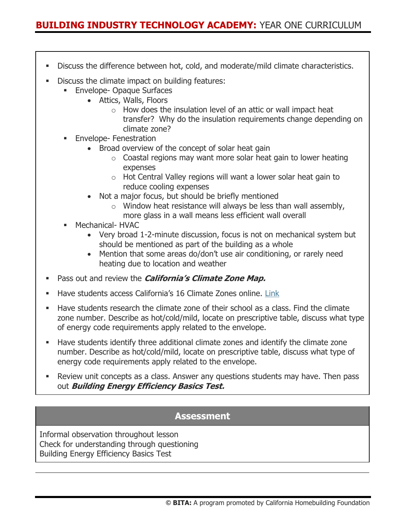- **EXEDE EXECTS IDE ATTE:** Discuss the difference between hot, cold, and moderate/mild climate characteristics.
- **Discuss the climate impact on building features:** 
	- **Envelope- Opaque Surfaces** 
		- Attics, Walls, Floors
			- $\circ$  How does the insulation level of an attic or wall impact heat transfer? Why do the insulation requirements change depending on climate zone?
	- **Envelope-Fenestration** 
		- Broad overview of the concept of solar heat gain
			- $\circ$  Coastal regions may want more solar heat gain to lower heating expenses
			- o Hot Central Valley regions will want a lower solar heat gain to reduce cooling expenses
		- Not a major focus, but should be briefly mentioned
			- $\circ$  Window heat resistance will always be less than wall assembly, more glass in a wall means less efficient wall overall
	- Mechanical- HVAC
		- Very broad 1-2-minute discussion, focus is not on mechanical system but should be mentioned as part of the building as a whole
		- Mention that some areas do/don't use air conditioning, or rarely need heating due to location and weather
- Pass out and review the **California's Climate Zone Map.**
- Have students access California's 16 Climate Zones online. [Link](%09https:/uc39ee6fd28984e8f17e0358f8e1.previews.dropboxusercontent.com/p/pdf/AAfO-zij-DzZNyUBqwgwFf3HRLOprnN27XsfCgI9mOHSkINX9xc6BZ1vuf_-elH-1G4IFR0Xf11WmF4HAz6641igvf1Olcw9KUFlvVexTHJ5g_XOYsLOw6y9-UShyqXDa-XMFoOM_cfRyduD04yi7zsaW0gKTjDo0DqMtjAsz6Im3kUCtns8ZAnTFaowVuY9I-1yZ11nGnJ4oQ1Er8wd6ZIPXlM62cbaM6ZR-VFLrQW04vJE4iBs0IneQRy7y9ncaKWFoGmw7BgmwdrZlQu1wmxJNCRLx4tLYES_Yu-bICYXYazN_esEM6b1mXwTlTky5h9zoRrksIBm5GpIzcFcTiUF5hVsmekQWFEr8mixe6EwID3EEtBv2G6SESwb1J3k2KsJCg0AJ0xk9QLh4R4gcKhL02HhFkIw6Lbi4vF44yJZhR8iUqBUqNebCZESmcwkXagM7-tWY6MUUx29WATOTom-3K_kGMzsEySXGwQREZQ5qMSbTnyWoDlbAAlOKiwx87jB3zRIUP3sNvzJfg2tjWjN-yVyKZCmvcSwY2rcoFt2gajTwV2iRryWMMn5l1uQrxWpcSgexShcfMtZCL1y8bsZXI48tFWXweupP60PpS-hqrBAoydu4dPNIuNaCmH6ssvDT0QmoiMVPAjk3ds5rkQd3_8dgCgnvN_N3l7bvq9GvHenBBeieW8my0raR9LYD6sGTZq1t0_UnuLK-qSHl9zEwFfy5-FQ1TEWVP1_CBZhmA/p.pdf)
- **EXECT** Have students research the climate zone of their school as a class. Find the climate zone number. Describe as hot/cold/mild, locate on prescriptive table, discuss what type of energy code requirements apply related to the envelope.
- **■** Have students identify three additional climate zones and identify the climate zone number. Describe as hot/cold/mild, locate on prescriptive table, discuss what type of energy code requirements apply related to the envelope.
- **EXECT** Review unit concepts as a class. Answer any questions students may have. Then pass out **Building Energy Efficiency Basics Test.**

#### **Assessment**

Informal observation throughout lesson Check for understanding through questioning Building Energy Efficiency Basics Test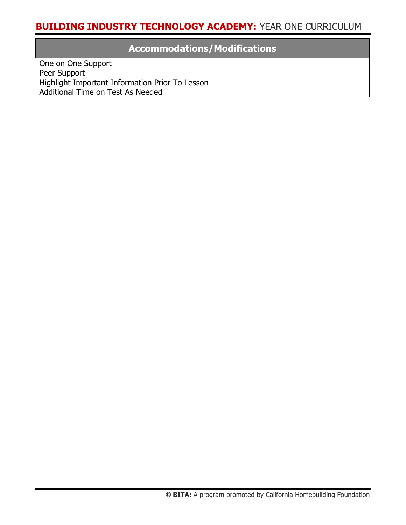# **Accommodations/Modifications**

One on One Support Peer Support Highlight Important Information Prior To Lesson Additional Time on Test As Needed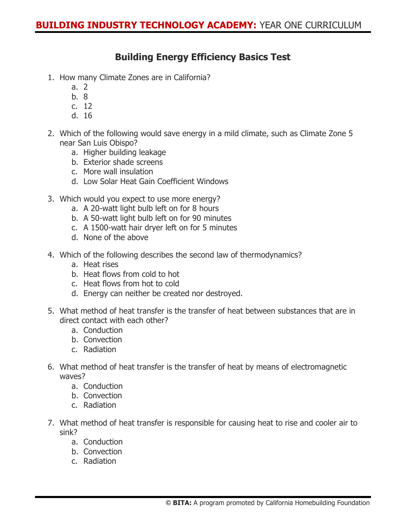## **Building Energy Efficiency Basics Test**

- 1. How many Climate Zones are in California?
	- a. 2
	- b. 8
	- c. 12
	- d. 16
- 2. Which of the following would save energy in a mild climate, such as Climate Zone 5 near San Luis Obispo?
	- a. Higher building leakage
	- b. Exterior shade screens
	- c. More wall insulation
	- d. Low Solar Heat Gain Coefficient Windows
- 3. Which would you expect to use more energy?
	- a. A 20-watt light bulb left on for 8 hours
	- b. A 50-watt light bulb left on for 90 minutes
	- c. A 1500-watt hair dryer left on for 5 minutes
	- d. None of the above
- 4. Which of the following describes the second law of thermodynamics?
	- a. Heat rises
	- b. Heat flows from cold to hot
	- c. Heat flows from hot to cold
	- d. Energy can neither be created nor destroyed.
- 5. What method of heat transfer is the transfer of heat between substances that are in direct contact with each other?
	- a. Conduction
	- b. Convection
	- c. Radiation
- 6. What method of heat transfer is the transfer of heat by means of electromagnetic waves?
	- a. Conduction
	- b. Convection
	- c. Radiation
- 7. What method of heat transfer is responsible for causing heat to rise and cooler air to sink?
	- a. Conduction
	- b. Convection
	- c. Radiation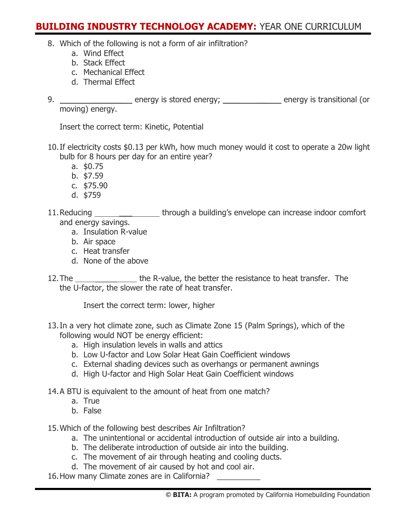- 8. Which of the following is not a form of air infiltration?
	- a. Wind Effect
	- b. Stack Effect
	- c. Mechanical Effect
	- d. Thermal Effect
- 9. \_\_\_\_\_\_\_\_\_\_\_\_\_\_\_\_\_\_ energy is stored energy; \_\_\_\_\_\_\_\_\_\_\_\_\_\_ energy is transitional (or moving) energy.

Insert the correct term: Kinetic, Potential

- 10.If electricity costs \$0.13 per kWh, how much money would it cost to operate a 20w light bulb for 8 hours per day for an entire year?
	- a. \$0.75
	- b. \$7.59
	- c. \$75.90
	- d. \$759
- 11. Reducing \_\_\_\_\_\_\_\_\_\_\_\_\_\_\_\_\_\_\_through a building's envelope can increase indoor comfort and energy savings.
	- a. Insulation R-value
	- b. Air space
	- c. Heat transfer
	- d. None of the above
- 12. The the R-value, the better the resistance to heat transfer. The the U-factor, the slower the rate of heat transfer.

Insert the correct term: lower, higher

- 13.In a very hot climate zone, such as Climate Zone 15 (Palm Springs), which of the following would NOT be energy efficient:
	- a. High insulation levels in walls and attics
	- b. Low U-factor and Low Solar Heat Gain Coefficient windows
	- c. External shading devices such as overhangs or permanent awnings
	- d. High U-factor and High Solar Heat Gain Coefficient windows
- 14.A BTU is equivalent to the amount of heat from one match?
	- a. True
	- b. False
- 15.Which of the following best describes Air Infiltration?
	- a. The unintentional or accidental introduction of outside air into a building.
	- b. The deliberate introduction of outside air into the building.
	- c. The movement of air through heating and cooling ducts.
	- d. The movement of air caused by hot and cool air.

16. How many Climate zones are in California?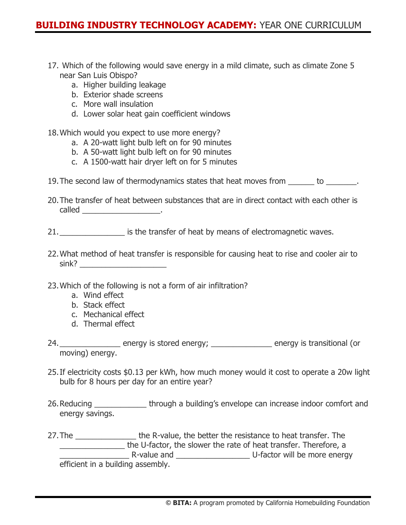- 17. Which of the following would save energy in a mild climate, such as climate Zone 5 near San Luis Obispo?
	- a. Higher building leakage
	- b. Exterior shade screens
	- c. More wall insulation
	- d. Lower solar heat gain coefficient windows

18.Which would you expect to use more energy?

- a. A 20-watt light bulb left on for 90 minutes
- b. A 50-watt light bulb left on for 90 minutes
- c. A 1500-watt hair dryer left on for 5 minutes
- 19.The second law of thermodynamics states that heat moves from \_\_\_\_\_\_ to \_\_\_\_\_\_\_.
- 20.The transfer of heat between substances that are in direct contact with each other is called \_\_\_\_\_\_\_\_\_\_\_\_\_\_\_\_\_\_\_\_\_\_\_\_\_.

21. **Example 21.** Superstanding is the transfer of heat by means of electromagnetic waves.

- 22.What method of heat transfer is responsible for causing heat to rise and cooler air to sink? \_\_\_\_\_\_\_\_\_\_\_\_\_\_\_\_\_\_\_\_
- 23.Which of the following is not a form of air infiltration?
	- a. Wind effect
	- b. Stack effect
	- c. Mechanical effect
	- d. Thermal effect
- 24.\_\_\_\_\_\_\_\_\_\_\_\_\_\_\_\_ energy is stored energy; \_\_\_\_\_\_\_\_\_\_\_\_\_\_\_ energy is transitional (or moving) energy.
- 25.If electricity costs \$0.13 per kWh, how much money would it cost to operate a 20w light bulb for 8 hours per day for an entire year?
- 26. Reducing \_\_\_\_\_\_\_\_\_\_\_\_\_\_\_ through a building's envelope can increase indoor comfort and energy savings.
- 27. The \_\_\_\_\_\_\_\_\_\_\_\_\_\_\_\_\_\_\_\_\_\_\_\_\_ the R-value, the better the resistance to heat transfer. The the U-factor, the slower the rate of heat transfer. Therefore, a R-value and **EXECUS** D-factor will be more energy efficient in a building assembly.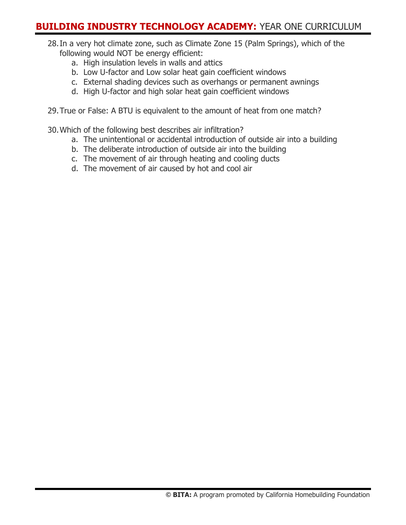- 28.In a very hot climate zone, such as Climate Zone 15 (Palm Springs), which of the following would NOT be energy efficient:
	- a. High insulation levels in walls and attics
	- b. Low U-factor and Low solar heat gain coefficient windows
	- c. External shading devices such as overhangs or permanent awnings
	- d. High U-factor and high solar heat gain coefficient windows
- 29.True or False: A BTU is equivalent to the amount of heat from one match?
- 30.Which of the following best describes air infiltration?
	- a. The unintentional or accidental introduction of outside air into a building
	- b. The deliberate introduction of outside air into the building
	- c. The movement of air through heating and cooling ducts
	- d. The movement of air caused by hot and cool air